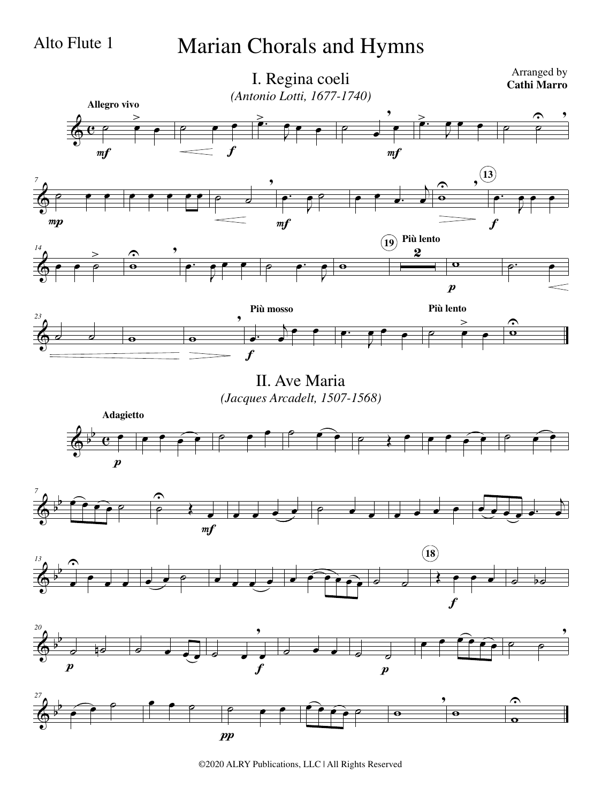## Alto Flute 1 Marian Chorals and Hymns



II. Ave Maria *(Jacques Arcadelt, 1507-1568)*











©2020 ALRY Publications, LLC | All Rights Reserved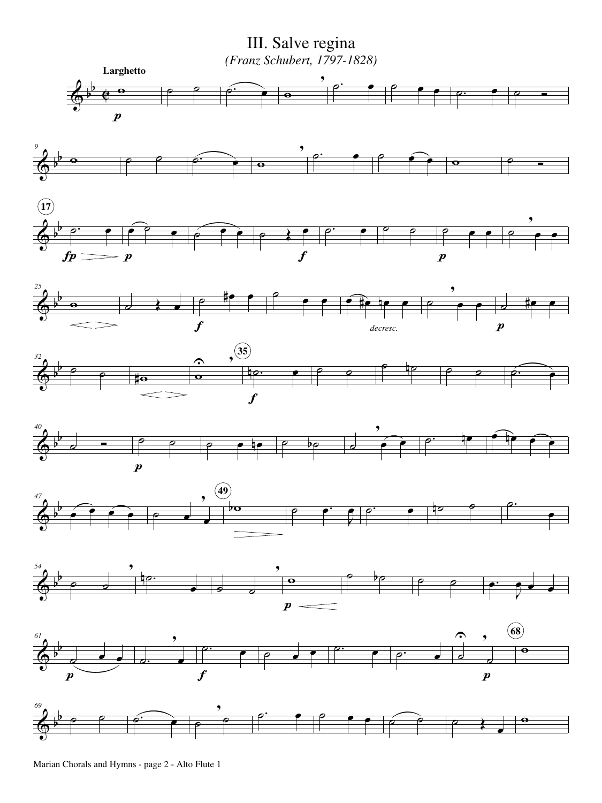$\overline{\Phi^{\flat}}$ b  $\overline{\mathbf{e}}$  $\overline{\mathbf{e}}$  $\boldsymbol{p}$ **Larghetto**  $\circ$   $\circ$   $\circ$   $\circ$   $\circ$ , o. e e e e e. e e e b  $\begin{array}{ccc} \circ & \circ & \circ \\ \circ & \circ & \circ \end{array}$ ,  $\circ$   $\circ$   $\circ$   $\circ$   $\circ$   $\circ$ Ó III. Salve regina *(Franz Schubert, 1797-1828)*

















Marian Chorals and Hymns - page 2 - Alto Flute 1

 $\overrightarrow{A}$ 

*9*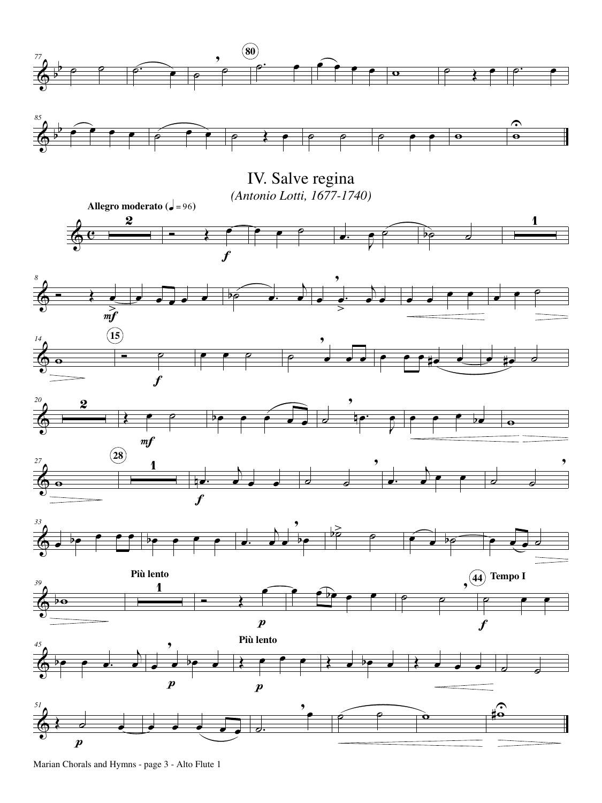

Marian Chorals and Hymns - page 3 - Alto Flute 1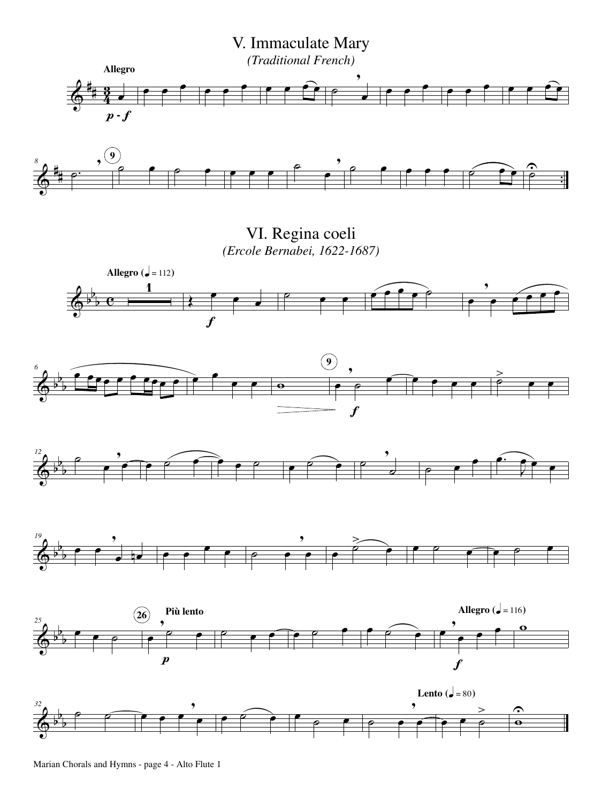



VI. Regina coeli *(Ercole Bernabei, 1622-1687)*



Marian Chorals and Hymns - page 4 - Alto Flute 1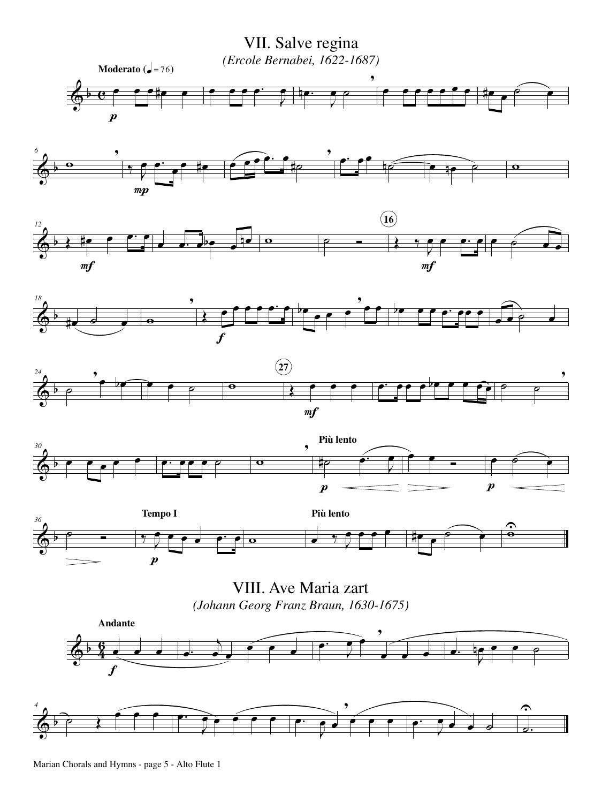

Marian Chorals and Hymns - page 5 - Alto Flute 1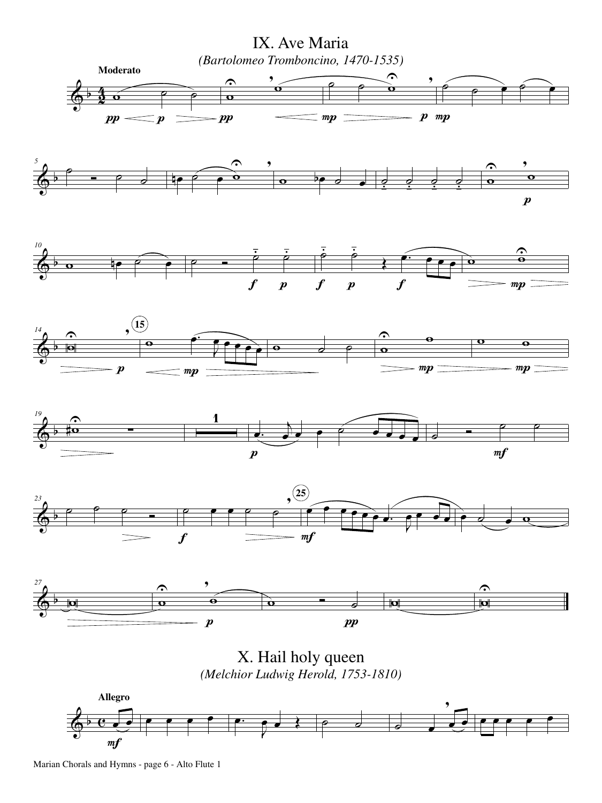



Marian Chorals and Hymns - page 6 - Alto Flute 1